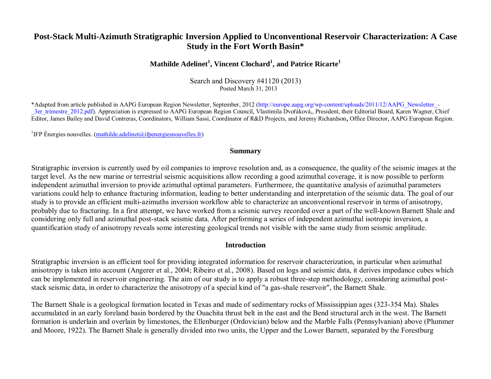# **Post-Stack Multi-Azimuth Stratigraphic Inversion Applied to Unconventional Reservoir Characterization: A Case Study in the Fort Worth Basin\***

## **Mathilde Adelinet<sup>1</sup> , Vincent Clochard<sup>1</sup> , and Patrice Ricarte<sup>1</sup>**

Search and Discovery #41120 (2013) Posted March 31, 2013

\*Adapted from article published in AAPG European Region Newsletter, September, 2012 (http://europe.aapg.org/wp-content/uploads/2011/12/AAPG\_Newsletter\_- 3er trimestre 2012.pdf). Appreciation is expressed to AAPG European Region Council, Vlastimila Dvořáková,, President, their Editorial Board, Karen Wagner, Chief Editor, James Bailey and David Contreras, Coordinators, William Sassi, Coordinator of R&D Projects, and Jeremy Richardson**,** Office Director, AAPG European Region.

<sup>1</sup>IFP Énergies nouvelles. [\(mathilde.adelinet@ifpenergiesnouvelles.fr\)](mailto:mathilde.adelinet@ifpenergiesnouvelles.fr)

#### **Summary**

Stratigraphic inversion is currently used by oil companies to improve resolution and, as a consequence, the quality of the seismic images at the target level. As the new marine or terrestrial seismic acquisitions allow recording a good azimuthal coverage, it is now possible to perform independent azimuthal inversion to provide azimuthal optimal parameters. Furthermore, the quantitative analysis of azimuthal parameters variations could help to enhance fracturing information, leading to better understanding and interpretation of the seismic data. The goal of our study is to provide an efficient multi-azimuths inversion workflow able to characterize an unconventional reservoir in terms of anisotropy, probably due to fracturing. In a first attempt, we have worked from a seismic survey recorded over a part of the well-known Barnett Shale and considering only full and azimuthal post-stack seismic data. After performing a series of independent azimuthal isotropic inversion, a quantification study of anisotropy reveals some interesting geological trends not visible with the same study from seismic amplitude.

#### **Introduction**

Stratigraphic inversion is an efficient tool for providing integrated information for reservoir characterization, in particular when azimuthal anisotropy is taken into account (Angerer et al., 2004; Ribeiro et al., 2008). Based on logs and seismic data, it derives impedance cubes which can be implemented in reservoir engineering. The aim of our study is to apply a robust three-step methodology, considering azimuthal poststack seismic data, in order to characterize the anisotropy of a special kind of "a gas-shale reservoir", the Barnett Shale.

The Barnett Shale is a geological formation located in Texas and made of sedimentary rocks of Mississippian ages (323-354 Ma). Shales accumulated in an early foreland basin bordered by the Ouachita thrust belt in the east and the Bend structural arch in the west. The Barnett formation is underlain and overlain by limestones, the Ellenburger (Ordovician) below and the Marble Falls (Pennsylvanian) above (Plummer and Moore, 1922). The Barnett Shale is generally divided into two units, the Upper and the Lower Barnett, separated by the Forestburg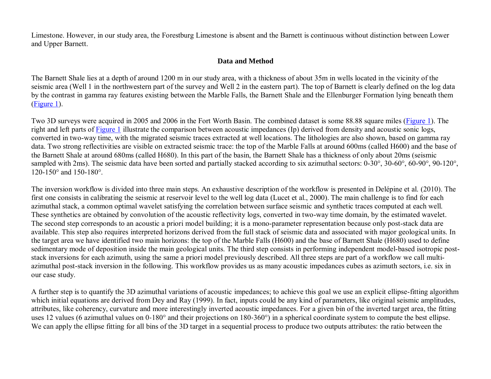Limestone. However, in our study area, the Forestburg Limestone is absent and the Barnett is continuous without distinction between Lower and Upper Barnett.

### **Data and Method**

The Barnett Shale lies at a depth of around 1200 m in our study area, with a thickness of about 35m in wells located in the vicinity of the seismic area (Well 1 in the northwestern part of the survey and Well 2 in the eastern part). The top of Barnett is clearly defined on the log data by the contrast in gamma ray features existing between the Marble Falls, the Barnett Shale and the Ellenburger Formation lying beneath them [\(Figure 1\)](#page-5-0).

Two 3D surveys were acquired in 2005 and 2006 in the Fort Worth Basin. The combined dataset is some 88.88 square miles ([Figure 1](#page-5-0)). The right and left parts of **Figure 1** illustrate the comparison between acoustic impedances (Ip) derived from density and acoustic sonic logs, converted in two-way time, with the migrated seismic traces extracted at well locations. The lithologies are also shown, based on gamma ray data. Two strong reflectivities are visible on extracted seismic trace: the top of the Marble Falls at around 600ms (called H600) and the base of the Barnett Shale at around 680ms (called H680). In this part of the basin, the Barnett Shale has a thickness of only about 20ms (seismic sampled with 2ms). The seismic data have been sorted and partially stacked according to six azimuthal sectors: 0-30°, 30-60°, 60-90°, 90-120°, 120-150° and 150-180°.

The inversion workflow is divided into three main steps. An exhaustive description of the workflow is presented in Delépine et al. (2010). The first one consists in calibrating the seismic at reservoir level to the well log data (Lucet et al., 2000). The main challenge is to find for each azimuthal stack, a common optimal wavelet satisfying the correlation between surface seismic and synthetic traces computed at each well. These synthetics are obtained by convolution of the acoustic reflectivity logs, converted in two-way time domain, by the estimated wavelet. The second step corresponds to an acoustic a priori model building; it is a mono-parameter representation because only post-stack data are available. This step also requires interpreted horizons derived from the full stack of seismic data and associated with major geological units. In the target area we have identified two main horizons: the top of the Marble Falls (H600) and the base of Barnett Shale (H680) used to define sedimentary mode of deposition inside the main geological units. The third step consists in performing independent model-based isotropic poststack inversions for each azimuth, using the same a priori model previously described. All three steps are part of a workflow we call multiazimuthal post-stack inversion in the following. This workflow provides us as many acoustic impedances cubes as azimuth sectors, i.e. six in our case study.

A further step is to quantify the 3D azimuthal variations of acoustic impedances; to achieve this goal we use an explicit ellipse-fitting algorithm which initial equations are derived from Dey and Ray (1999). In fact, inputs could be any kind of parameters, like original seismic amplitudes, attributes, like coherency, curvature and more interestingly inverted acoustic impedances. For a given bin of the inverted target area, the fitting uses 12 values (6 azimuthal values on 0-180° and their projections on 180-360°) in a spherical coordinate system to compute the best ellipse. We can apply the ellipse fitting for all bins of the 3D target in a sequential process to produce two outputs attributes: the ratio between the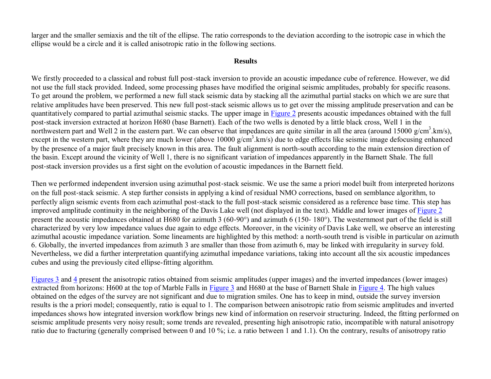larger and the smaller semiaxis and the tilt of the ellipse. The ratio corresponds to the deviation according to the isotropic case in which the ellipse would be a circle and it is called anisotropic ratio in the following sections.

#### **Results**

We firstly proceeded to a classical and robust full post-stack inversion to provide an acoustic impedance cube of reference. However, we did not use the full stack provided. Indeed, some processing phases have modified the original seismic amplitudes, probably for specific reasons. To get around the problem, we performed a new full stack seismic data by stacking all the azimuthal partial stacks on which we are sure that relative amplitudes have been preserved. This new full post‐stack seismic allows us to get over the missing amplitude preservation and can be quantitatively compared to partial azimuthal seismic stacks. The upper image in [Figure 2](#page-6-0) presents acoustic impedances obtained with the full post‐stack inversion extracted at horizon H680 (base Barnett). Each of the two wells is denoted by a little black cross, Well 1 in the northwestern part and Well 2 in the eastern part. We can observe that impedances are quite similar in all the area (around  $15000 \text{ g/cm}^3$ .km/s), except in the western part, where they are much lower (above 10000 g/cm<sup>3</sup>.km/s) due to edge effects like seismic image defocusing enhanced by the presence of a major fault precisely known in this area. The fault alignment is north-south according to the main extension direction of the basin. Except around the vicinity of Well 1, there is no significant variation of impedances apparently in the Barnett Shale. The full post‐stack inversion provides us a first sight on the evolution of acoustic impedances in the Barnett field.

Then we performed independent inversion using azimuthal post-stack seismic. We use the same a priori model built from interpreted horizons on the full post‐stack seismic. A step further consists in applying a kind of residual NMO corrections, based on semblance algorithm, to perfectly align seismic events from each azimuthal post‐stack to the full post‐stack seismic considered as a reference base time. This step has improved amplitude continuity in the neighboring of the Davis Lake well (not displayed in the text). Middle and lower images of [Figure 2](#page-6-0) present the acoustic impedances obtained at H680 for azimuth 3 (60‐90°) and azimuth 6 (150‐ 180°). The westernmost part of the field is still characterized by very low impedance values due again to edge effects. Moreover, in the vicinity of Davis Lake well, we observe an interesting azimuthal acoustic impedance variation. Some lineaments are highlighted by this method: a north-south trend is visible in particular on azimuth 6. Globally, the inverted impedances from azimuth 3 are smaller than those from azimuth 6, may be linked with irregularity in survey fold. Nevertheless, we did a further interpretation quantifying azimuthal impedance variations, taking into account all the six acoustic impedances cubes and using the previously cited ellipse-fitting algorithm.

[Figures 3](#page-7-0) and [4](#page-8-0) present the anisotropic ratios obtained from seismic amplitudes (upper images) and the inverted impedances (lower images) extracted from horizons: H600 at the top of Marble Falls in [Figure 3](#page-7-0) and H680 at the base of Barnett Shale in [Figure 4.](#page-8-0) The high values obtained on the edges of the survey are not significant and due to migration smiles. One has to keep in mind, outside the survey inversion results is the a priori model; consequently, ratio is equal to 1. The comparison between anisotropic ratio from seismic amplitudes and inverted impedances shows how integrated inversion workflow brings new kind of information on reservoir structuring. Indeed, the fitting performed on seismic amplitude presents very noisy result; some trends are revealed, presenting high anisotropic ratio, incompatible with natural anisotropy ratio due to fracturing (generally comprised between 0 and 10 %; i.e*.* a ratio between 1 and 1.1). On the contrary, results of anisotropy ratio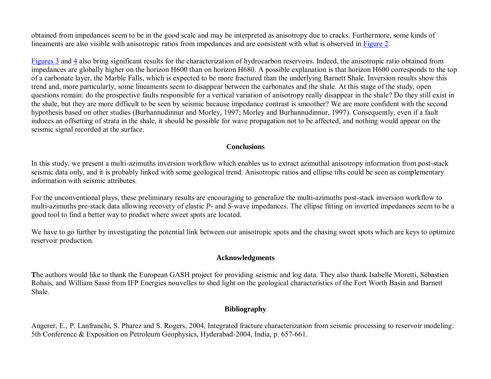obtained from impedances seem to be in the good scale and may be interpreted as anisotropy due to cracks. Furthermore, some kinds of lineaments are also visible with anisotropic ratios from impedances and are consistent with what is observed in [Figure 2.](#page-6-0)

[Figures 3](#page-7-0) and [4 a](#page-8-0)lso bring significant results for the characterization of hydrocarbon reservoirs. Indeed, the anisotropic ratio obtained from impedances are globally higher on the horizon H600 than on horizon H680. A possible explanation is that horizon H600 corresponds to the top of a carbonate layer, the Marble Falls, which is expected to be more fractured than the underlying Barnett Shale. Inversion results show this trend and, more particularly, some lineaments seem to disappear between the carbonates and the shale. At this stage of the study, open questions remain: do the prospective faults responsible for a vertical variation of anisotropy really disappear in the shale? Do they still exist in the shale, but they are more difficult to be seen by seismic because impedance contrast is smoother? We are more confident with the second hypothesis based on other studies (Burhannudinnur and Morley, 1997; Morley and Burhannudinnur, 1997). Consequently, even if a fault induces an offsetting of strata in the shale, it should be possible for wave propagation not to be affected, and nothing would appear on the seismic signal recorded at the surface.

### **Conclusions**

In this study, we present a multi-azimuths inversion workflow which enables us to extract azimuthal anisotropy information from post-stack seismic data only, and it is probably linked with some geological trend. Anisotropic ratios and ellipse tilts could be seen as complementary information with seismic attributes.

For the unconventional plays, these preliminary results are encouraging to generalize the multi-azimuths post-stack inversion workflow to multi-azimuths pre-stack data allowing recovery of elastic *P-* and *S-*wave impedances. The ellipse fitting on inverted impedances seem to be a good tool to find a better way to predict where sweet spots are located.

We have to go further by investigating the potential link between our anisotropic spots and the chasing sweet spots which are keys to optimize reservoir production.

### **Acknowledgments**

**T**he authors would like to thank the European GASH project for providing seismic and log data. They also thank Isabelle Moretti, Sébastien Rohais, and William Sassi from IFP Energies nouvelles to shed light on the geological characteristics of the Fort Worth Basin and Barnett Shale.

## **Bibliography**

Angerer, E., P. Lanfranchi, S. Pharez and S. Rogers, 2004, Integrated fracture characterization from seismic processing to reservoir modeling: 5th Conference & Exposition on Petroleum Geophysics, Hyderabad-2004, India, p. 657-661.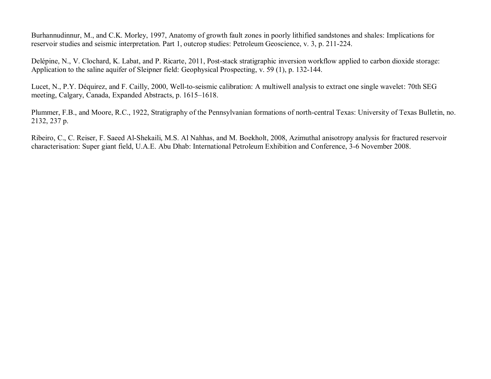Burhannudinnur, M., and C.K. Morley, 1997, Anatomy of growth fault zones in poorly lithified sandstones and shales: Implications for reservoir studies and seismic interpretation. Part 1, outcrop studies: Petroleum Geoscience, v. 3, p. 211-224.

Delépine, N., V. Clochard, K. Labat, and P. Ricarte, 2011, Post-stack stratigraphic inversion workflow applied to carbon dioxide storage: Application to the saline aquifer of Sleipner field: Geophysical Prospecting, v. 59 (1), p. 132-144.

Lucet, N., P.Y. Déquirez, and F. Cailly, 2000, Well-to-seismic calibration: A multiwell analysis to extract one single wavelet: 70th SEG meeting, Calgary, Canada, Expanded Abstracts, p. 1615–1618.

Plummer, F.B., and Moore, R.C., 1922, [Stratigraphy of the Pennsylvanian formations of north-central Texas:](http://ngmdb.usgs.gov/Prodesc/proddesc_92397.htm) University of Texas Bulletin, no. 2132, 237 p.

Ribeiro, C., C. Reiser, F. Saeed Al-Shekaili, M.S. Al Nahhas, and M. Boekholt, 2008, Azimuthal anisotropy analysis for fractured reservoir characterisation: Super giant field, U.A.E. Abu Dhab: International Petroleum Exhibition and Conference, 3-6 November 2008.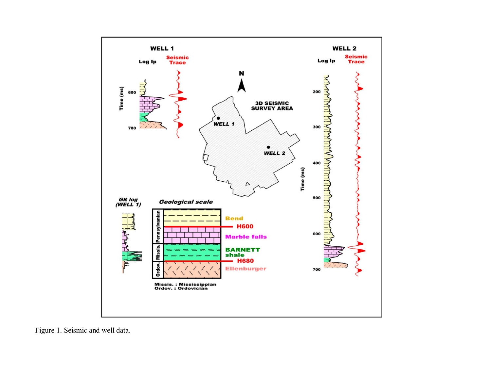<span id="page-5-0"></span>

Figure 1. Seismic and well data.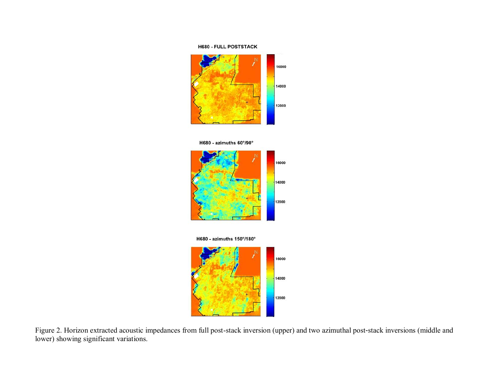#### **H680 - FULL POSTSTACK**

<span id="page-6-0"></span>

H680 - azimuths 60°/90°



H680 - azimuths 150°/180°



Figure 2. Horizon extracted acoustic impedances from full post-stack inversion (upper) and two azimuthal post-stack inversions (middle and lower) showing significant variations.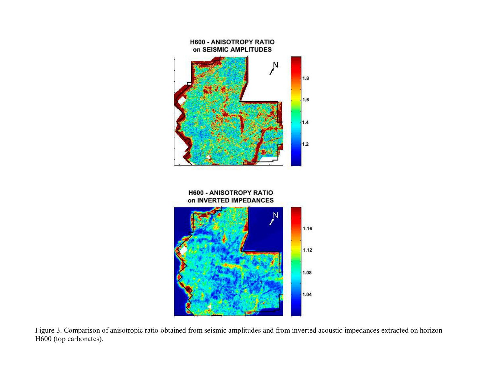<span id="page-7-0"></span>

Figure 3. Comparison of anisotropic ratio obtained from seismic amplitudes and from inverted acoustic impedances extracted on horizon H600 (top carbonates).